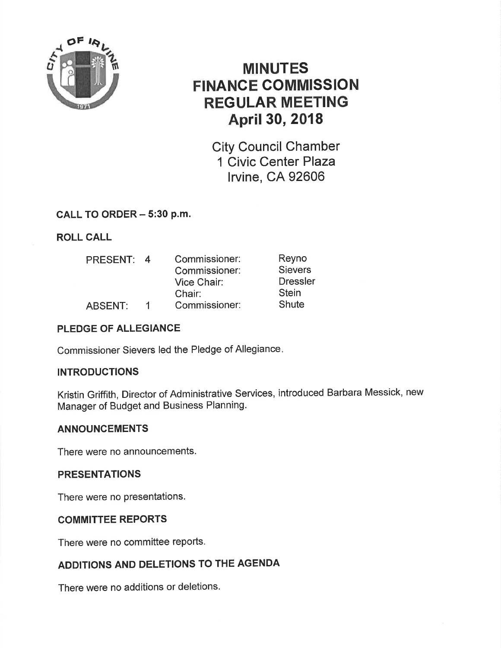

# MINUTES FINANCE COMMISSION REGULAR MEETING April 30, 2018

City Council Chamber 1 Civic Center Plaza lrvine, CA 92606

### CALL TO ORDER - 5:30 p.m.

### ROLL CALL

| 4            | Commissioner: | Reyno           |
|--------------|---------------|-----------------|
|              | Commissioner: | <b>Sievers</b>  |
|              | Vice Chair:   | <b>Dressler</b> |
|              | Chair:        | <b>Stein</b>    |
| $\mathbf{1}$ | Commissioner: | <b>Shute</b>    |
|              |               |                 |

### PLEDGE OF ALLEGIANCE

Commissioner Sievers led the Pledge of Allegiance

### **INTRODUCTIONS**

Kristin Griffith, Director of Administrative Services, introduced Barbara Messick, new Manager of Budget and Business Planning.

### ANNOUNCEMENTS

There were no announcements.

### PRESENTATIONS

There were no presentations.

### COMMITTEE REPORTS

There were no committee reports.

## ADDITIONS AND DELETIONS TO THE AGENDA

There were no additions or deletions.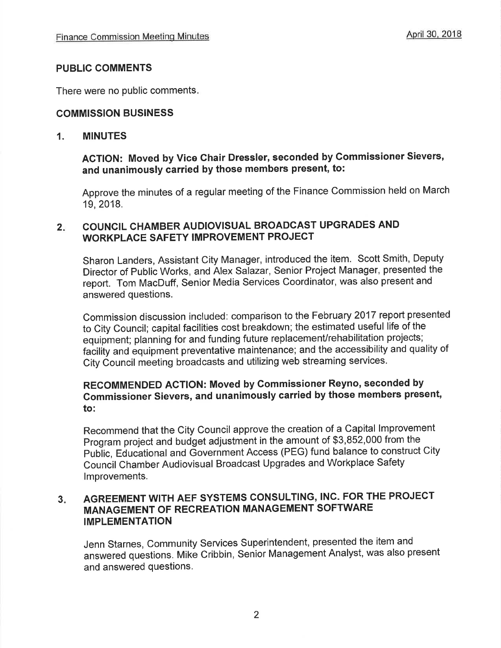### PUBLIC COMMENTS

There were no public comments

### **COMMISSION BUSINESS**

### 1. MINUTES

## ACTION: Moved by Vice Ghair Dressler, seconded by Commissioner Sievers, and unanimously carried by those members present, to:

Approve the minutes of a regular meeting of the Finance Commission held on March 19,2018.

### $2 -$ COUNCIL CHAMBER AUDIOVISUAL BROADCAST UPGRADES AND WORKPLACE SAFETY IMPROVEMENT PROJECT

Sharon Landers, Assistant City Manager, introduced the item. Scott Smith, Deputy Director of Public Works, and Alex Salazar, Senior Project Manager, presented the report. Tom MacDuff, Senior Media Services Coordinator, was also present and answered questions.

Commission discussion included: comparison to the February 2017 report presented to City Council; capital facilities cost breakdown; the estimated useful life of the equipment; planning for and funding future replacement/rehabilitation projects; facility and equipment preventative maintenance; and the accessibility and quality of City Council meeting broadcasts and utilizing web streaming services'

### RECOMMENDED ACTION: Moved by Commissioner Reyno, seconded by Gommissioner Sievers, and unanimously carried by those members present, to:

Recommend that the City Council approve the creation of a Capital lmprovement Program project and budget adjustment in the amount of \$3,852,000 from the Public, Educational and Government Access (PEG) fund balance to construct City Council Chamber Audiovisual Broadcast Upgrades and Workplace Safety lmprovements.

### AGREEMENT WITH AEF SYSTEMS CONSULTING, INC. FOR THE PROJECT MANAGEMENT OF RECREATION MANAGEMENT SOFTWARE IMPLEMENTATION  $3<sub>1</sub>$

Jenn Starnes, Community services superintendent, presented the item and answered questions. Mikê Cribbin, Senior Management Analyst, was also present and answered questions.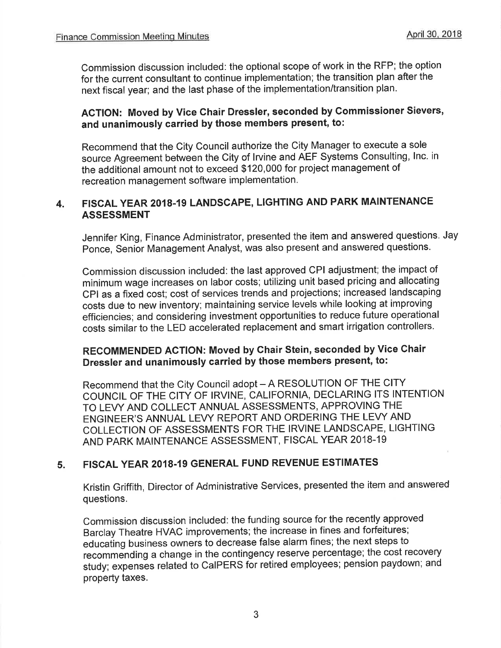Commission discussion included: the optional scope of work in the RFP; the option for the current consultant to continue implementation; the transition plan after the next fiscal year; and the last phase of the implementation/transition plan.

### AGTION: Moved by Vice Chair Dressler, seconded by Commissioner Sievers, and unanimously carried by those members present, to:

Recommend that the City Council authorize the City Manager to execute a sole source Agreement between the City of lrvine and AEF Systems Consulting, lnc. in the additiônal amount not to exceed \$120,000 for project management of recreation management software implementation.

### 4. FISCAL YEAR 2018-19 LANDSCAPE, LIGHTING AND PARK MAINTENANCE ASSESSMENT

Jennifer King, Finance Administrator, presented the item and answered questions, Jay Ponce, Senior Management Analyst, was also present and answered questions.

Commission discussion included: the last approved CPI adjustment; the impact of minimum wage increases on labor costs; utilizing unit based pricing and allocating CPI as a fixeð cost; cost of services trends and projections; increased landscaping costs due to new inventory; maintaining service levels while looking at improving efficiencies; and considering investment opportunities to reduce future operational costs similar to the LED accelerated replacement and smart irrigation controllers.

# RECOMMENDED ACTION: Moved by Ghair Stein, seconded by Vice Ghair Dressler and unanimously carried by those members present, to:

Recommend that the City Council adopt - A RESOLUTION OF THE CITY COUNCIL OF THE CITY OF IRVINE, CALIFORNIA, DECLARING ITS INTENTION TO LEVY AND COLLECT ANNUAL ASSESSMENTS, APPROVING THE ENGINEER'S ANNUAL LEVY REPORT AND ORDERING THE LEVY AND COLLECTION OF ASSESSMENTS FOR THE IRVINE LANDSCAPE, LIGHTING AND PARK MAINTENANCE ASSESSMENT, FISCAL YEAR 2018-19

### 5. FISCAL YEAR 2018.19 GENERAL FUND REVENUE ESTIMATES

Kristin Griffith, Director of Administrative Services, presented the item and answered questions.

Commission discussion included: the funding source for the recently approved Barclay Theatre HVAC improvements; the increase in fines and forfeitures; educating business owners to decrease false alarm fines; the next steps to recommending a change in the contingency reserve percentage; the cost recovery study; expenses related to CaIPERS for retired employees; pension paydown; and property taxes.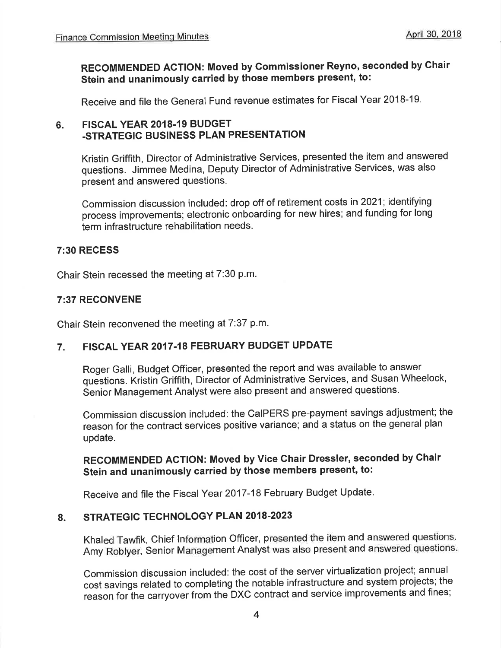# RECOMMENDED AGTION: Moved by Commissioner Reyno, seconded by Chair stein and unanimously carried by those members present, to:

Receive and file the General Fund revenue estimates for Fiscal Year 2018-19'

#### FISCAL YEAR 2018.19 BUDGET -STRATEGIC BUSINESS PLAN PRESENTATION 6.

Kristin Griffith, Director of Administrative Services, presented the item and answered questions. Jimmee Medina, Deputy Director of Administrative Services, was also present and answered questions.

Commission discussion included: drop off of retirement costs in 2021; identifying process improvements; electronic onboarding for new hires; and funding for long term infrastructure rehabilitation needs.

### 7:30 RECESS

Chair Stein recessed the meeting at 7:30 p.m.

### 7:37 RECONVENE

Chair Stein reconvened the meeting at 7:37 p.m.

### 7. FISCAL YEAR 2017.18 FEBRUARY BUDGET UPDATE

Roger Galli, Budget Officer, presented the report and was available to answer questions. Kristin Griffith, Director of Administrative Services, and Susan Wheelock, Senior Management Analyst were also present and answered questions.

Commission discussion included: the CaIPERS pre-payment savings adjustment; the reason for the contract services positive variance; and a status on the general plan update.

## RECOMMENDED AGTION: Moved by Vice Ghair Dressler, seconded by Chair Stein and unanimously carried by those members present, to:

Receive and file the Fiscal Year 2017-18 February Budget Update.

### 8. STRATEGIC TECHNOLOGY PLAN 2018-2023

Khaled Tawfik, Chief lnformation Officer, presented the item and answered questions. Amy Roblyer, Senior Management Analyst was also present and answered questions.

Commission discussion included: the cost of the server virtualization project; annual cost savings related to completing the notable infrastructure and system projects; the reason for the carryover from the DXC contract and service improvements and fines;